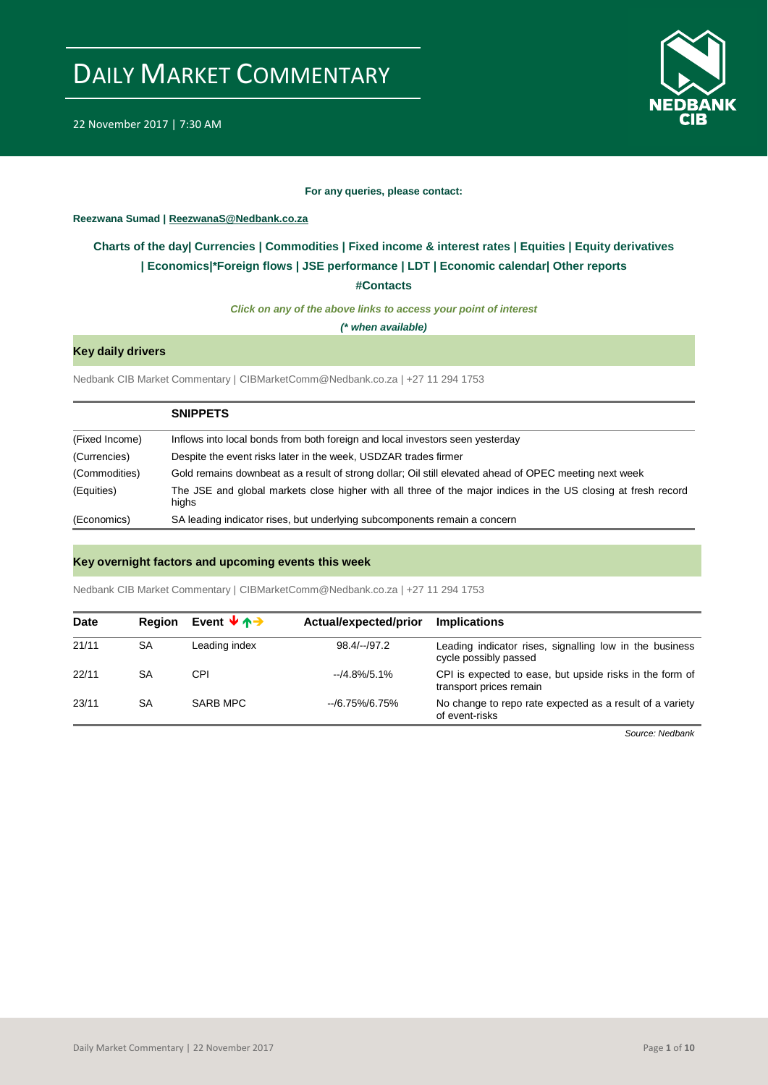



### **For any queries, please contact:**

### <span id="page-0-0"></span>**Reezwana Sumad | ReezwanaS@Nedbank.co.za**

### **Charts of the day| [Currencies](#page-2-0) [| Commodities](#page-3-0) | [Fixed income & interest rates](#page-1-0) | [Equities](#page-4-0) | Equity derivatives | [Economics|\\*](#page-6-0)Foreign flows [| JSE performance](#page-4-1) | LDT | [Economic calendar|](#page-7-0) Other reports**

**[#Contacts](#page-8-0)**

*Click on any of the above links to access your point of interest*

*(\* when available)*

### **Key daily drivers**

Nedbank CIB Market Commentary | CIBMarketComm@Nedbank.co.za | +27 11 294 1753

|                | <b>SNIPPETS</b>                                                                                                        |
|----------------|------------------------------------------------------------------------------------------------------------------------|
| (Fixed Income) | Inflows into local bonds from both foreign and local investors seen yesterday                                          |
| (Currencies)   | Despite the event risks later in the week, USDZAR trades firmer                                                        |
| (Commodities)  | Gold remains downbeat as a result of strong dollar; Oil still elevated ahead of OPEC meeting next week                 |
| (Equities)     | The JSE and global markets close higher with all three of the major indices in the US closing at fresh record<br>highs |
| (Economics)    | SA leading indicator rises, but underlying subcomponents remain a concern                                              |

### **Key overnight factors and upcoming events this week**

Nedbank CIB Market Commentary | CIBMarketComm@Nedbank.co.za | +27 11 294 1753

| <b>Date</b> | <b>Region</b> | Event $\forall \land \rightarrow$ | Actual/expected/prior | <b>Implications</b>                                                                 |
|-------------|---------------|-----------------------------------|-----------------------|-------------------------------------------------------------------------------------|
| 21/11       | <b>SA</b>     | Leading index                     | $98.4/-/97.2$         | Leading indicator rises, signalling low in the business<br>cycle possibly passed    |
| 22/11       | SA            | CPI                               | $-4.8\%/5.1\%$        | CPI is expected to ease, but upside risks in the form of<br>transport prices remain |
| 23/11       | <b>SA</b>     | SARB MPC                          | $-$ /6.75%/6.75%      | No change to repo rate expected as a result of a variety<br>of event-risks          |

*Source: Nedbank*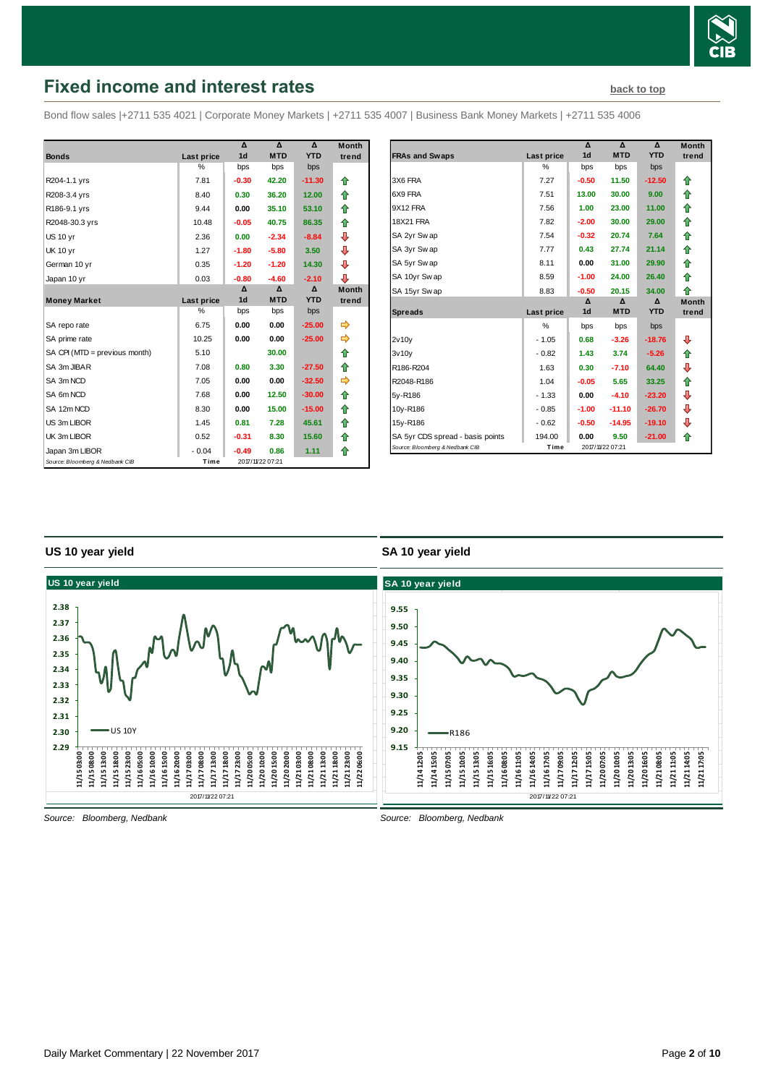

## <span id="page-1-0"></span>**Fixed income and interest rates [back to top](#page-0-0)** back to top

Bond flow sales |+2711 535 4021 | Corporate Money Markets | +2711 535 4007 | Business Bank Money Markets | +2711 535 4006

|                                 |               | Δ              | $\Lambda$        | $\mathbf{v}$ | <b>Month</b> |
|---------------------------------|---------------|----------------|------------------|--------------|--------------|
| <b>Bonds</b>                    | Last price    | 1 <sub>d</sub> | <b>MTD</b>       | <b>YTD</b>   | trend        |
|                                 | %             | bps            | bps              | bps          |              |
| R204-1.1 yrs                    | 7.81          | $-0.30$        | 42.20            | $-11.30$     | ⇑            |
| R208-3.4 yrs                    | 8.40          | 0.30           | 36.20            | 12.00        | ⇑            |
| R186-9.1 yrs                    | 9.44          | 0.00           | 35.10            | 53.10        | ⇑            |
| R2048-30.3 yrs                  | 10.48         | $-0.05$        | 40.75            | 86.35        | ⇑            |
| <b>US 10 yr</b>                 | 2.36          | 0.00           | $-2.34$          | $-8.84$      | ⊕            |
| <b>UK 10 yr</b>                 | 1.27          | $-1.80$        | $-5.80$          | 3.50         | ⊕            |
| German 10 yr                    | 0.35          | $-1.20$        | $-1.20$          | 14.30        | ⊕            |
| Japan 10 yr                     | 0.03          | $-0.80$        | $-4.60$          | $-2.10$      | ⊕            |
|                                 |               | Δ              | Δ                | Δ            | <b>Month</b> |
| <b>Money Market</b>             | Last price    | 1 <sub>d</sub> | <b>MTD</b>       | <b>YTD</b>   | trend        |
|                                 | $\frac{0}{0}$ | bps            | bps              | bps          |              |
| SA repo rate                    | 6.75          | 0.00           | 0.00             | $-25.00$     |              |
| SA prime rate                   | 10.25         | 0.00           | 0.00             | $-25.00$     | ⇛            |
| SA CPI (MTD = previous month)   | 5.10          |                | 30.00            |              | ⇑            |
| SA 3m JIBAR                     | 7.08          | 0.80           | 3.30             | $-27.50$     | ♠            |
| SA 3m NCD                       | 7.05          | 0.00           | 0.00             | $-32.50$     | ⇛            |
| SA 6m NCD                       | 7.68          | 0.00           | 12.50            | $-30.00$     | ⇑            |
| SA 12m NCD                      | 8.30          | 0.00           | 15.00            | $-15.00$     | ⇑            |
| US 3m LIBOR                     | 1.45          | 0.81           | 7.28             | 45.61        | ⇑            |
| UK 3m LIBOR                     | 0.52          | $-0.31$        | 8.30             | 15.60        | ⇑            |
| Japan 3m LIBOR                  | $-0.04$       | $-0.49$        | 0.86             | 1.11         | ⇑            |
| Source: Bloomberg & Nedbank CIB | Time          |                | 2017/11/22 07:21 |              |              |

|                                  |               | Δ              | Δ                | $\Delta$   | <b>Month</b> |
|----------------------------------|---------------|----------------|------------------|------------|--------------|
| <b>FRAs and Swaps</b>            | Last price    | 1 <sub>d</sub> | <b>MTD</b>       | <b>YTD</b> | trend        |
|                                  | $\frac{0}{0}$ | bps            | bps              | bps        |              |
| 3X6 FRA                          | 7.27          | $-0.50$        | 11.50            | $-12.50$   | ⇑            |
| 6X9 FRA                          | 7.51          | 13.00          | 30.00            | 9.00       | ⇑            |
| 9X12 FRA                         | 7.56          | 1.00           | 23.00            | 11.00      | ⇑            |
| <b>18X21 FRA</b>                 | 7.82          | $-2.00$        | 30.00            | 29.00      | ⇑            |
| SA 2yr Swap                      | 7.54          | $-0.32$        | 20.74            | 7.64       | ⇑            |
| SA 3yr Swap                      | 7.77          | 0.43           | 27.74            | 21.14      | ⇑            |
| SA 5yr Swap                      | 8.11          | 0.00           | 31.00            | 29.90      | ⇑            |
| SA 10yr Swap                     | 8.59          | $-1.00$        | 24.00            | 26.40      | ⇑            |
| SA 15yr Swap                     | 8.83          | $-0.50$        | 20.15            | 34.00      | ♠            |
|                                  |               | $\Lambda$      | Δ                | $\Lambda$  | <b>Month</b> |
| <b>Spreads</b>                   | Last price    | 1 <sub>d</sub> | <b>MTD</b>       | <b>YTD</b> | trend        |
|                                  | $\frac{0}{0}$ | bps            | bps              | bps        |              |
| 2v10v                            | $-1.05$       | 0.68           | $-3.26$          | $-18.76$   | ⊕            |
| 3v10v                            | $-0.82$       | 1.43           | 3.74             | $-5.26$    | ⇑            |
| R186-R204                        | 1.63          | 0.30           | $-7.10$          | 64.40      | ⊕            |
| R2048-R186                       | 1.04          | $-0.05$        | 5.65             | 33.25      | ⇑            |
| 5y-R186                          | $-1.33$       | 0.00           | $-4.10$          | $-23.20$   | ⇩            |
| 10y-R186                         | $-0.85$       | $-1.00$        | $-11.10$         | $-26.70$   | ⇩            |
| 15y-R186                         | $-0.62$       | $-0.50$        | $-14.95$         | $-19.10$   | ⇩            |
| SA 5yr CDS spread - basis points | 194.00        | 0.00           | 9.50             | $-21.00$   | ⇑            |
| Source: Bloomberg & Nedbank CIB  | Time          |                | 2017/11/22 07:21 |            |              |

### **US 10 year yield**

### **SA 10 year yield**



*Source: Bloomberg, Nedbank*

*Source: Bloomberg, Nedbank*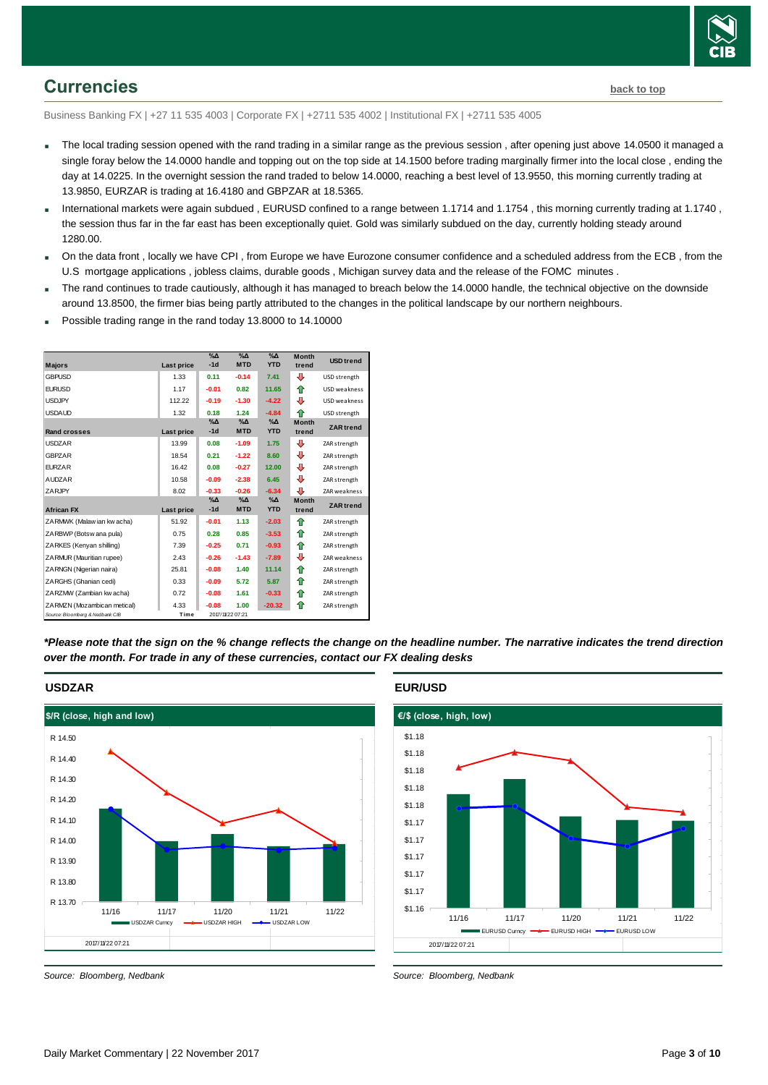

## <span id="page-2-0"></span>**Currencies [back to top](#page-0-0)**

Business Banking FX | +27 11 535 4003 | Corporate FX | +2711 535 4002 | Institutional FX | +2711 535 4005

- The local trading session opened with the rand trading in a similar range as the previous session, after opening just above 14.0500 it managed a single foray below the 14.0000 handle and topping out on the top side at 14.1500 before trading marginally firmer into the local close , ending the day at 14.0225. In the overnight session the rand traded to below 14.0000, reaching a best level of 13.9550, this morning currently trading at 13.9850, EURZAR is trading at 16.4180 and GBPZAR at 18.5365.
- International markets were again subdued , EURUSD confined to a range between 1.1714 and 1.1754 , this morning currently trading at 1.1740 , the session thus far in the far east has been exceptionally quiet. Gold was similarly subdued on the day, currently holding steady around 1280.00.
- On the data front , locally we have CPI , from Europe we have Eurozone consumer confidence and a scheduled address from the ECB , from the U.S mortgage applications , jobless claims, durable goods , Michigan survey data and the release of the FOMC minutes .
- The rand continues to trade cautiously, although it has managed to breach below the 14.0000 handle, the technical objective on the downside around 13.8500, the firmer bias being partly attributed to the changes in the political landscape by our northern neighbours.
- Possible trading range in the rand today 13.8000 to 14.10000



*\*Please note that the sign on the % change reflects the change on the headline number. The narrative indicates the trend direction over the month. For trade in any of these currencies, contact our FX dealing desks*



### **USDZAR**

*Source: Bloomberg, Nedbank*

### **EUR/USD**



*Source: Bloomberg, Nedbank*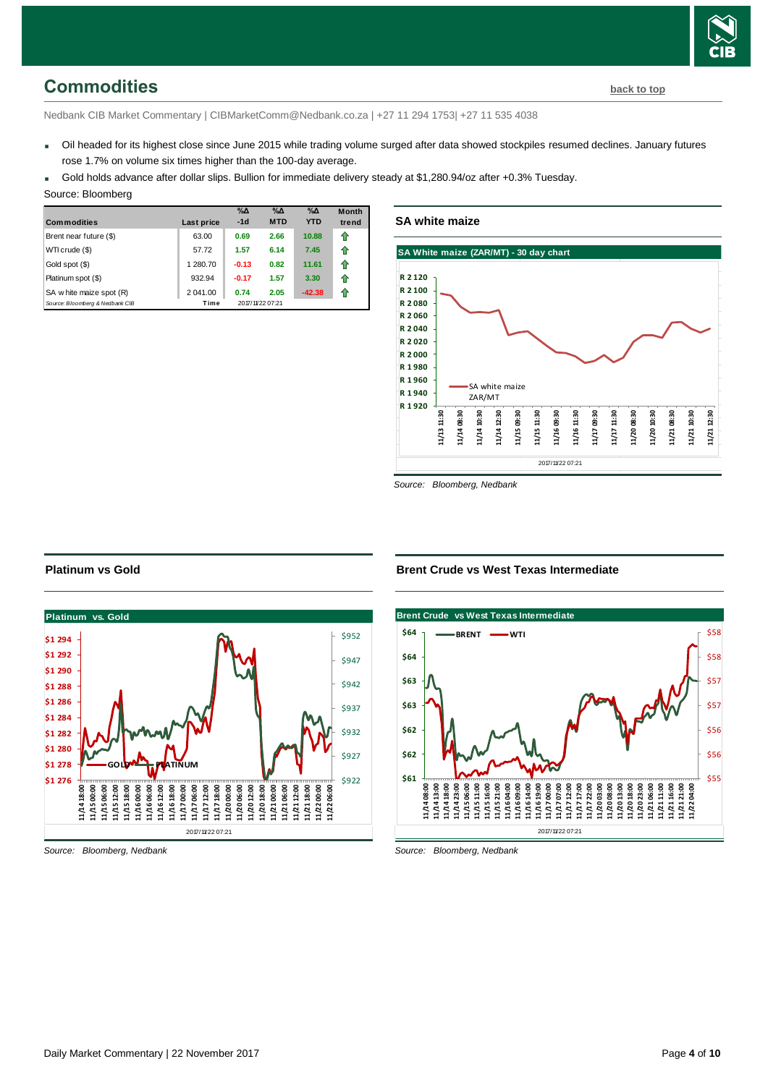## <span id="page-3-0"></span>**Commodities [back to top](#page-0-0)**

Nedbank CIB Market Commentary | CIBMarketComm@Nedbank.co.za | +27 11 294 1753| +27 11 535 4038

 Oil headed for its highest close since June 2015 while trading volume surged after data showed stockpiles resumed declines. January futures rose 1.7% on volume six times higher than the 100-day average.

Gold holds advance after dollar slips. Bullion for immediate delivery steady at \$1,280.94/oz after +0.3% Tuesday.

### Source: Bloomberg

| <b>Commodities</b>              | Last price | $\%$ $\Delta$<br>$-1d$ | $\%$ $\Delta$<br><b>MTD</b> | $\%$ $\Delta$<br><b>YTD</b> | <b>Month</b><br>trend |
|---------------------------------|------------|------------------------|-----------------------------|-----------------------------|-----------------------|
| Brent near future (\$)          | 63.00      | 0.69                   | 2.66                        | 10.88                       |                       |
| WTI crude (\$)                  | 57.72      | 1.57                   | 6.14                        | 7.45                        |                       |
| Gold spot (\$)                  | 1 280.70   | $-0.13$                | 0.82                        | 11.61                       |                       |
| Platinum spot (\$)              | 932.94     | $-0.17$                | 1.57                        | 3.30                        |                       |
| SA w hite maize spot (R)        | 2 041.00   | 0.74                   | 2.05                        | $-42.38$                    |                       |
| Source: Bloomberg & Nedbank CIB | Time       |                        | 2017/11/22 07:21            |                             |                       |

**SA white maize**



*Source: Bloomberg, Nedbank*

### **Platinum vs Gold**



*Source: Bloomberg, Nedbank*

### **Brent Crude vs West Texas Intermediate**



*Source: Bloomberg, Nedbank*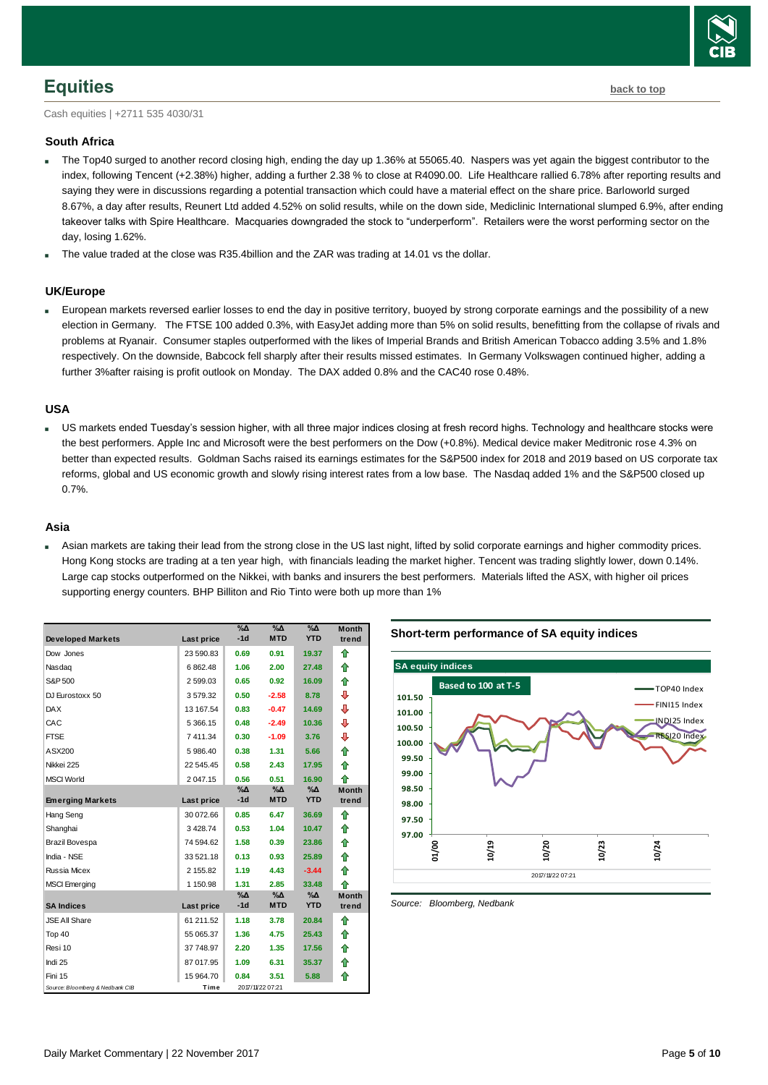## <span id="page-4-0"></span>**Equities [back to top](#page-0-0)**

Cash equities | +2711 535 4030/31

### **South Africa**

- The Top40 surged to another record closing high, ending the day up 1.36% at 55065.40. Naspers was yet again the biggest contributor to the index, following Tencent (+2.38%) higher, adding a further 2.38 % to close at R4090.00. Life Healthcare rallied 6.78% after reporting results and saying they were in discussions regarding a potential transaction which could have a material effect on the share price. Barloworld surged 8.67%, a day after results, Reunert Ltd added 4.52% on solid results, while on the down side, Mediclinic International slumped 6.9%, after ending takeover talks with Spire Healthcare. Macquaries downgraded the stock to "underperform". Retailers were the worst performing sector on the day, losing 1.62%.
- The value traded at the close was R35.4billion and the ZAR was trading at 14.01 vs the dollar.

### **UK/Europe**

 European markets reversed earlier losses to end the day in positive territory, buoyed by strong corporate earnings and the possibility of a new election in Germany. The FTSE 100 added 0.3%, with EasyJet adding more than 5% on solid results, benefitting from the collapse of rivals and problems at Ryanair. Consumer staples outperformed with the likes of Imperial Brands and British American Tobacco adding 3.5% and 1.8% respectively. On the downside, Babcock fell sharply after their results missed estimates. In Germany Volkswagen continued higher, adding a further 3%after raising is profit outlook on Monday. The DAX added 0.8% and the CAC40 rose 0.48%.

### **USA**

 US markets ended Tuesday's session higher, with all three major indices closing at fresh record highs. Technology and healthcare stocks were the best performers. Apple Inc and Microsoft were the best performers on the Dow (+0.8%). Medical device maker Meditronic rose 4.3% on better than expected results. Goldman Sachs raised its earnings estimates for the S&P500 index for 2018 and 2019 based on US corporate tax reforms, global and US economic growth and slowly rising interest rates from a low base. The Nasdaq added 1% and the S&P500 closed up 0.7%.

### **Asia**

 Asian markets are taking their lead from the strong close in the US last night, lifted by solid corporate earnings and higher commodity prices. Hong Kong stocks are trading at a ten year high, with financials leading the market higher. Tencent was trading slightly lower, down 0.14%. Large cap stocks outperformed on the Nikkei, with banks and insurers the best performers. Materials lifted the ASX, with higher oil prices supporting energy counters. BHP Billiton and Rio Tinto were both up more than 1%

| <b>Developed Markets</b>        | Last price | $\%$ $\Delta$<br>$-1d$ | $\sqrt{20}$<br><b>MTD</b> | $\%$ $\Delta$<br><b>YTD</b> | <b>Month</b><br>trend |
|---------------------------------|------------|------------------------|---------------------------|-----------------------------|-----------------------|
| Dow Jones                       | 23 590.83  | 0.69                   | 0.91                      | 19.37                       | ⇑                     |
| Nasdag                          | 6 862.48   | 1.06                   | 2.00                      | 27.48                       | ⇑                     |
| S&P 500                         | 2 599.03   | 0.65                   | 0.92                      | 16.09                       | ⇑                     |
| DJ Eurostoxx 50                 | 3579.32    | 0.50                   | $-2.58$                   | 8.78                        | ⊕                     |
| <b>DAX</b>                      | 13 167.54  | 0.83                   | $-0.47$                   | 14.69                       | ⇩                     |
| CAC                             | 5 366.15   | 0.48                   | $-2.49$                   | 10.36                       | ⊕                     |
| <b>FTSE</b>                     | 7411.34    | 0.30                   | $-1.09$                   | 3.76                        | ⊕                     |
| ASX200                          | 5986.40    | 0.38                   | 1.31                      | 5.66                        | ⇑                     |
| Nikkei 225                      | 22 545.45  | 0.58                   | 2.43                      | 17.95                       | ♠                     |
| <b>MSCI World</b>               | 2 047.15   | 0.56                   | 0.51                      | 16.90                       | 全                     |
| <b>Emerging Markets</b>         | Last price | %Δ<br>$-1d$            | %∆<br><b>MTD</b>          | %Δ<br><b>YTD</b>            | <b>Month</b><br>trend |
| Hang Seng                       | 30 072.66  | 0.85                   | 6.47                      | 36.69                       | ⇑                     |
| Shanghai                        | 3428.74    | 0.53                   | 1.04                      | 10.47                       | ⇑                     |
| Brazil Bovespa                  | 74 594.62  | 1.58                   | 0.39                      | 23.86                       | ⇑                     |
| India - NSE                     | 33 521.18  | 0.13                   | 0.93                      | 25.89                       | ⇑                     |
| Russia Micex                    | 2 155.82   | 1.19                   | 4.43                      | $-3.44$                     | ⇑                     |
| <b>MSCI</b> Emerging            | 1 150.98   | 1.31                   | 2.85                      | 33.48                       | ♠                     |
|                                 |            | %∆                     | %∆                        | %Д                          | <b>Month</b>          |
| <b>SA Indices</b>               | Last price | $-1d$                  | <b>MTD</b>                | <b>YTD</b>                  | trend                 |
| <b>JSE All Share</b>            | 61 211.52  | 1.18                   | 3.78                      | 20.84                       | ⇑                     |
| Top 40                          | 55 065.37  | 1.36                   | 4.75                      | 25.43                       | ⇑                     |
| Resi 10                         | 37 748.97  | 2.20                   | 1.35                      | 17.56                       | ⇑                     |
| Indi 25                         | 87 017.95  | 1.09                   | 6.31                      | 35.37                       | ⇑                     |
| Fini 15                         | 15 964.70  | 0.84                   | 3.51                      | 5.88                        | ⇑                     |
| Source: Bloomberg & Nedbank CIB | Time       |                        | 2017/11/22 07:21          |                             |                       |

**Short-term performance of SA equity indices**



<span id="page-4-1"></span>*Source: Bloomberg, Nedbank*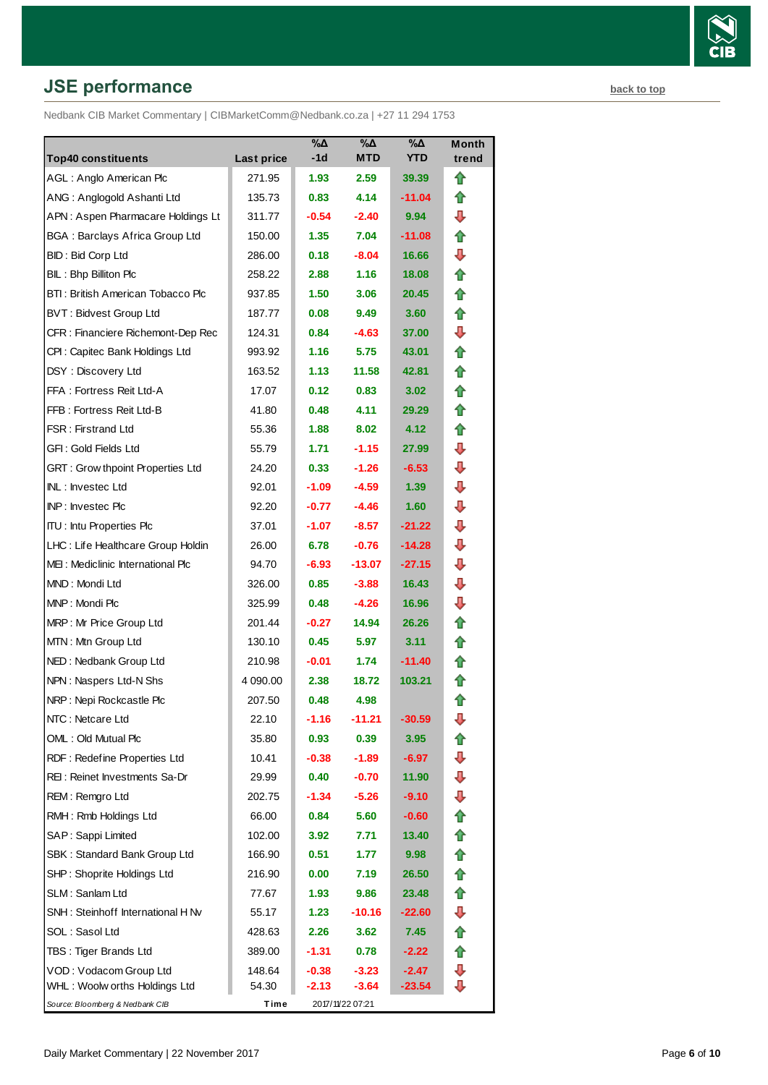# **JSE performance [back to top](#page-0-0) back to top**

Nedbank CIB Market Commentary | CIBMarketComm@Nedbank.co.za | +27 11 294 1753

| <b>Top40 constituents</b>               | Last price | %Δ<br>-1d | $\%$ $\Delta$<br><b>MTD</b> | %Δ<br><b>YTD</b>  | <b>Month</b><br>trend |
|-----------------------------------------|------------|-----------|-----------------------------|-------------------|-----------------------|
| AGL: Anglo American Plc                 | 271.95     | 1.93      | 2.59                        | 39.39             | ⇑                     |
| ANG: Anglogold Ashanti Ltd              | 135.73     | 0.83      | 4.14                        | -11.04            | ⇑                     |
| APN: Aspen Pharmacare Holdings Lt       | 311.77     | $-0.54$   | $-2.40$                     | 9.94              | ⊕                     |
| <b>BGA: Barclays Africa Group Ltd</b>   | 150.00     | 1.35      | 7.04                        | $-11.08$          | ⇑                     |
| BID: Bid Corp Ltd                       | 286.00     | 0.18      | $-8.04$                     | 16.66             | ⊕                     |
| BIL: Bhp Billiton Plc                   | 258.22     | 2.88      | 1.16                        | 18.08             | ⇑                     |
| BTI: British American Tobacco Plc       | 937.85     | 1.50      | 3.06                        | 20.45             | n                     |
| <b>BVT: Bidvest Group Ltd</b>           | 187.77     | 0.08      | 9.49                        | 3.60              | ⇑                     |
| CFR : Financiere Richemont-Dep Rec      | 124.31     | 0.84      | $-4.63$                     | 37.00             | ⊕                     |
| CPI : Capitec Bank Holdings Ltd         | 993.92     | 1.16      | 5.75                        | 43.01             | ⇑                     |
| DSY: Discovery Ltd                      | 163.52     | 1.13      | 11.58                       | 42.81             | n                     |
| FFA: Fortress Reit Ltd-A                | 17.07      | 0.12      | 0.83                        | 3.02 <sub>1</sub> | ⇑                     |
| FFB: Fortress Reit Ltd-B                | 41.80      | 0.48      | 4.11                        | 29.29             | ⇑                     |
| FSR: Firstrand Ltd                      | 55.36      | 1.88      | 8.02                        | 4.12              | ⇑                     |
| GFI: Gold Fields Ltd                    | 55.79      | 1.71      | $-1.15$                     | 27.99             | ⊕                     |
| <b>GRT: Grow thpoint Properties Ltd</b> | 24.20      | 0.33      | $-1.26$                     | $-6.53$           | ⊕                     |
| INL: Investec Ltd                       | 92.01      | $-1.09$   | $-4.59$                     | 1.39              | ⊕                     |
| <b>INP:</b> Invested Plc                | 92.20      | $-0.77$   | -4.46                       | 1.60              | ⊕                     |
| <b>ITU:</b> Intu Properties Plc         | 37.01      | $-1.07$   | $-8.57$                     | $-21.22$          | ┺                     |
| LHC: Life Healthcare Group Holdin       | 26.00      | 6.78      | $-0.76$                     | $-14.28$          | ┺                     |
| MEI: Mediclinic International Plc       | 94.70      | $-6.93$   | $-13.07$                    | $-27.15$          | ┺                     |
| MND: Mondi Ltd                          | 326.00     | 0.85      | $-3.88$                     | 16.43             | ⊕                     |
| MNP: Mondi Plc                          | 325.99     | 0.48      | $-4.26$                     | 16.96             | ⊕                     |
| MRP: Mr Price Group Ltd                 | 201.44     | $-0.27$   | 14.94                       | 26.26             | ⇑                     |
| MTN: Mtn Group Ltd                      | 130.10     | 0.45      | 5.97                        | 3.11              | ⇑                     |
| NED: Nedbank Group Ltd                  | 210.98     | $-0.01$   | 1.74                        | $-11.40$          | ⇑                     |
| NPN: Naspers Ltd-N Shs                  | 4 090.00   | 2.38      | 18.72                       | 103.21            | T                     |
| NRP: Nepi Rockcastle Plc                | 207.50     | 0.48      | 4.98                        |                   | ⇮                     |
| NTC: Netcare Ltd                        | 22.10      | -1.16     | $-11.21$                    | $-30.59$          | ⊕                     |
| OML: Old Mutual Plc                     | 35.80      | 0.93      | 0.39 <sup>°</sup>           | 3.95              | ⇑                     |
| RDF: Redefine Properties Ltd            | 10.41      | -0.38     | $-1.89$                     | -6.97             | ⇩                     |
| REI: Reinet Investments Sa-Dr           | 29.99      | 0.40      | $-0.70$                     | 11.90             | ⇩                     |
| REM: Remgro Ltd                         | 202.75     | $-1.34$   | $-5.26$                     | -9.10             | ⊕                     |
| RMH: Rmb Holdings Ltd                   | 66.00      | 0.84      | 5.60                        | $-0.60$           | ⇑                     |
| SAP: Sappi Limited                      | 102.00     | 3.92      | 7.71                        | 13.40             | ⇑                     |
| SBK: Standard Bank Group Ltd            | 166.90     | 0.51      | 1.77                        | 9.98              | ⇑                     |
| SHP: Shoprite Holdings Ltd              | 216.90     | 0.00      | 7.19                        | 26.50             |                       |
| SLM: Sanlam Ltd                         | 77.67      | 1.93      | 9.86                        | 23.48             | ⇑                     |
| SNH: Steinhoff International H Nv       | 55.17      | 1.23      | $-10.16$                    | $-22.60$          | ⇩                     |
| SOL: Sasol Ltd                          | 428.63     | 2.26      | 3.62                        | 7.45              | ⇑                     |
| TBS: Tiger Brands Ltd                   | 389.00     | -1.31     | 0.78                        | $-2.22$           | fr                    |
| VOD: Vodacom Group Ltd                  | 148.64     | $-0.38$   | $-3.23$                     | $-2.47$           | ⇩                     |
| WHL: Woolw orths Holdings Ltd           | 54.30      | $-2.13$   | -3.64                       | $-23.54$          | ⊕                     |
| Source: Bloomberg & Nedbank CIB         | Time       |           | 2017/11/22 07:21            |                   |                       |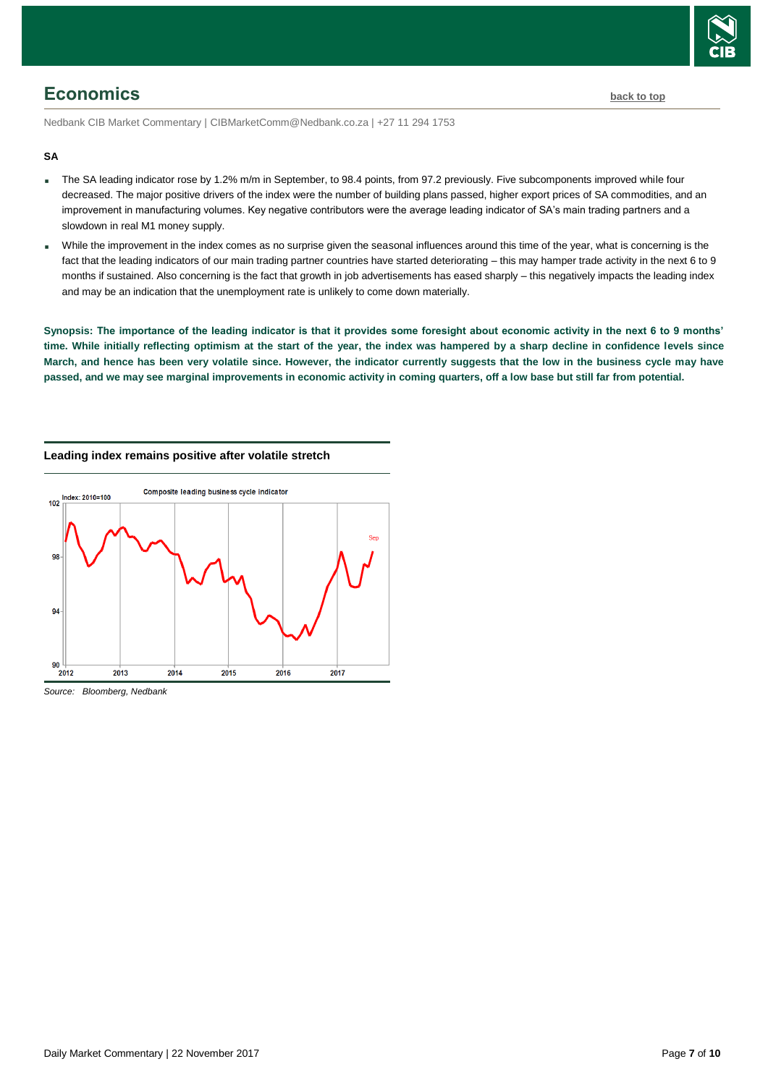

## <span id="page-6-0"></span>**Economics [back to top](#page-0-0)**

Nedbank CIB Market Commentary | CIBMarketComm@Nedbank.co.za | +27 11 294 1753

### **SA**

- The SA leading indicator rose by 1.2% m/m in September, to 98.4 points, from 97.2 previously. Five subcomponents improved while four decreased. The major positive drivers of the index were the number of building plans passed, higher export prices of SA commodities, and an improvement in manufacturing volumes. Key negative contributors were the average leading indicator of SA's main trading partners and a slowdown in real M1 money supply.
- While the improvement in the index comes as no surprise given the seasonal influences around this time of the year, what is concerning is the fact that the leading indicators of our main trading partner countries have started deteriorating – this may hamper trade activity in the next 6 to 9 months if sustained. Also concerning is the fact that growth in job advertisements has eased sharply – this negatively impacts the leading index and may be an indication that the unemployment rate is unlikely to come down materially.

**Synopsis: The importance of the leading indicator is that it provides some foresight about economic activity in the next 6 to 9 months' time. While initially reflecting optimism at the start of the year, the index was hampered by a sharp decline in confidence levels since March, and hence has been very volatile since. However, the indicator currently suggests that the low in the business cycle may have passed, and we may see marginal improvements in economic activity in coming quarters, off a low base but still far from potential.**



### **Leading index remains positive after volatile stretch**

*Source: Bloomberg, Nedbank*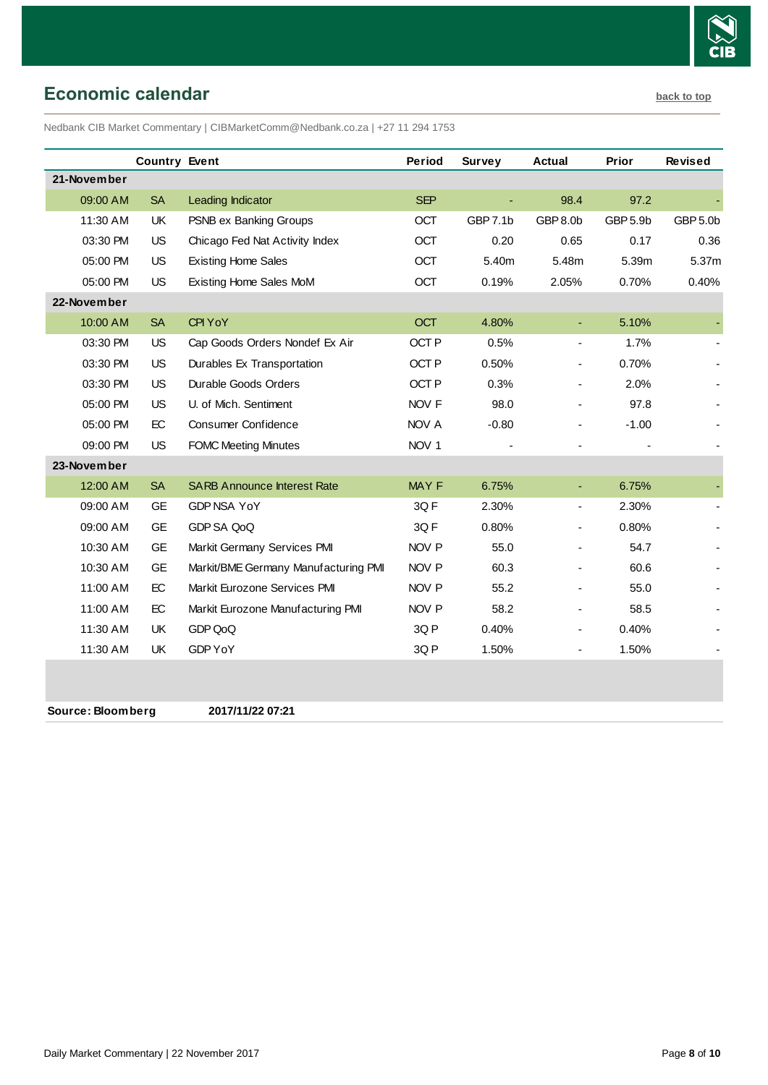

## <span id="page-7-0"></span>**Economic calendar [back to top](#page-0-0)**

Nedbank CIB Market Commentary | CIBMarketComm@Nedbank.co.za | +27 11 294 1753

|             | <b>Country Event</b> |                                      | Period           | <b>Survey</b> | Actual                   | Prior    | <b>Revised</b> |
|-------------|----------------------|--------------------------------------|------------------|---------------|--------------------------|----------|----------------|
| 21-November |                      |                                      |                  |               |                          |          |                |
| 09:00 AM    | <b>SA</b>            | Leading Indicator                    | <b>SEP</b>       |               | 98.4                     | 97.2     |                |
| 11:30 AM    | UK                   | PSNB ex Banking Groups               | <b>OCT</b>       | GBP 7.1b      | GBP 8.0b                 | GBP 5.9b | GBP 5.0b       |
| 03:30 PM    | <b>US</b>            | Chicago Fed Nat Activity Index       | OCT              | 0.20          | 0.65                     | 0.17     | 0.36           |
| 05:00 PM    | <b>US</b>            | <b>Existing Home Sales</b>           | <b>OCT</b>       | 5.40m         | 5.48m                    | 5.39m    | 5.37m          |
| 05:00 PM    | <b>US</b>            | Existing Home Sales MoM              | <b>OCT</b>       | 0.19%         | 2.05%                    | 0.70%    | 0.40%          |
| 22-November |                      |                                      |                  |               |                          |          |                |
| 10:00 AM    | <b>SA</b>            | CPI YoY                              | <b>OCT</b>       | 4.80%         |                          | 5.10%    |                |
| 03:30 PM    | <b>US</b>            | Cap Goods Orders Nondef Ex Air       | OCT P            | 0.5%          |                          | 1.7%     |                |
| 03:30 PM    | <b>US</b>            | Durables Ex Transportation           | OCT P            | 0.50%         |                          | 0.70%    |                |
| 03:30 PM    | <b>US</b>            | Durable Goods Orders                 | OCT <sub>P</sub> | 0.3%          |                          | 2.0%     |                |
| 05:00 PM    | US                   | U. of Mich. Sentiment                | NOV F            | 98.0          | ٠                        | 97.8     |                |
| 05:00 PM    | EC                   | Consumer Confidence                  | NOV A            | $-0.80$       |                          | $-1.00$  |                |
| 09:00 PM    | <b>US</b>            | <b>FOMC Meeting Minutes</b>          | NOV <sub>1</sub> |               |                          |          |                |
| 23-November |                      |                                      |                  |               |                          |          |                |
| 12:00 AM    | <b>SA</b>            | <b>SARB Announce Interest Rate</b>   | MAY F            | 6.75%         |                          | 6.75%    |                |
| 09:00 AM    | <b>GE</b>            | <b>GDP NSA YoY</b>                   | 3QF              | 2.30%         | $\overline{\phantom{a}}$ | 2.30%    |                |
| 09:00 AM    | <b>GE</b>            | GDP SA QoQ                           | 3QF              | 0.80%         |                          | 0.80%    |                |
| 10:30 AM    | <b>GE</b>            | Markit Germany Services PMI          | NOV <sub>P</sub> | 55.0          | $\overline{\phantom{a}}$ | 54.7     |                |
| 10:30 AM    | <b>GE</b>            | Markit/BME Germany Manufacturing PMI | NOV <sub>P</sub> | 60.3          |                          | 60.6     |                |
| 11:00 AM    | EC                   | Markit Eurozone Services PMI         | NOV <sub>P</sub> | 55.2          |                          | 55.0     |                |
| 11:00 AM    | EC                   | Markit Eurozone Manufacturing PMI    | NOV <sub>P</sub> | 58.2          |                          | 58.5     |                |
| 11:30 AM    | UK                   | GDP QoQ                              | 3QP              | 0.40%         |                          | 0.40%    |                |
| 11:30 AM    | <b>UK</b>            | GDP YoY                              | 3QP              | 1.50%         | $\overline{\phantom{a}}$ | 1.50%    |                |
|             |                      |                                      |                  |               |                          |          |                |

**Source: Bloomberg 2017/11/22 07:21**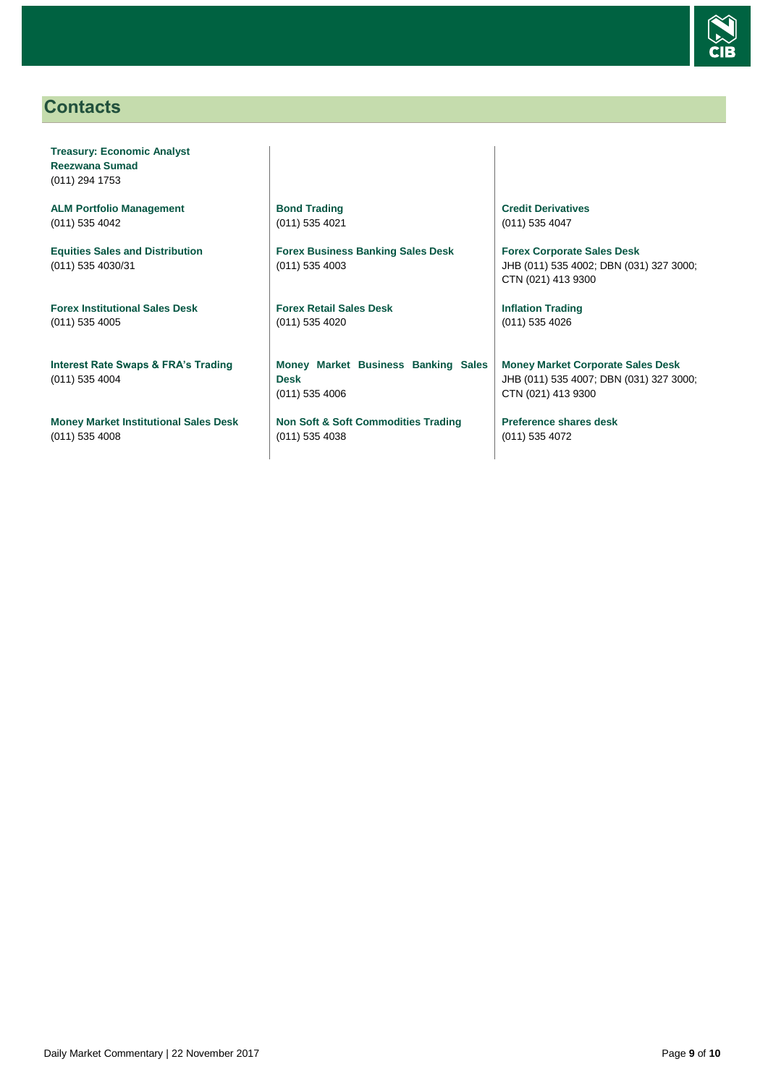

## <span id="page-8-0"></span>**Contacts**

**Treasury: Economic Analyst Reezwana Sumad** (011) 294 1753

**ALM Portfolio Management** (011) 535 4042

**Equities Sales and Distribution** (011) 535 4030/31

**Forex Institutional Sales Desk** (011) 535 4005

**Interest Rate Swaps & FRA's Trading** (011) 535 4004

**Money Market Institutional Sales Desk** (011) 535 4008

**Bond Trading** (011) 535 4021

**Forex Business Banking Sales Desk** (011) 535 4003

**Forex Retail Sales Desk** (011) 535 4020

**Money Market Business Banking Sales Desk** (011) 535 4006

**Non Soft & Soft Commodities Trading** (011) 535 4038

**Credit Derivatives**  (011) 535 4047

**Forex Corporate Sales Desk** JHB (011) 535 4002; DBN (031) 327 3000; CTN (021) 413 9300

**Inflation Trading** (011) 535 4026

**Money Market Corporate Sales Desk** JHB (011) 535 4007; DBN (031) 327 3000; CTN (021) 413 9300

**Preference shares desk** (011) 535 4072